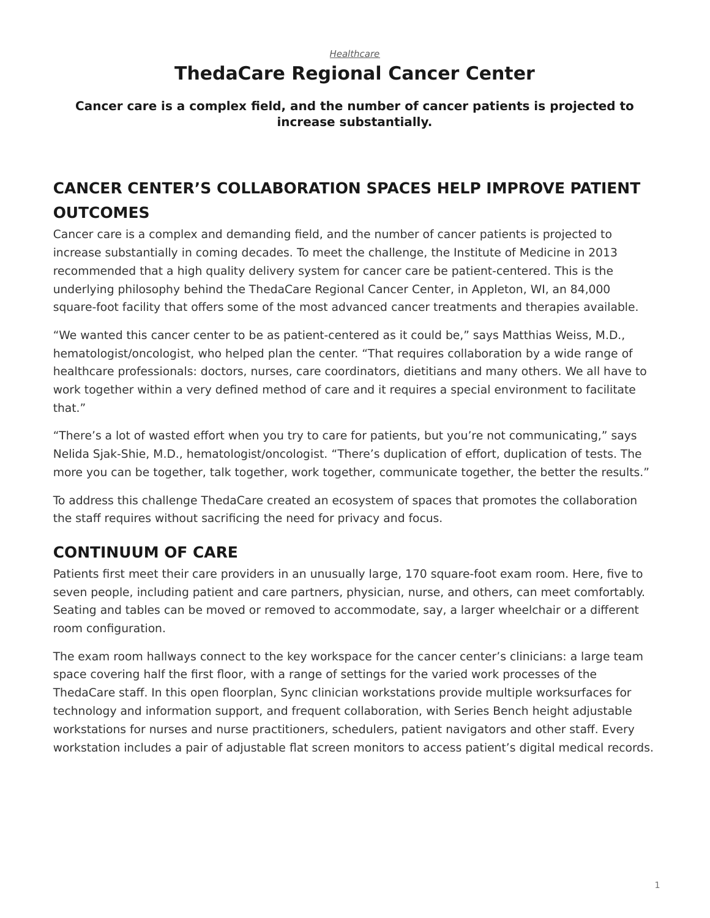#### *[Healthcare](https://www.steelcase.com/research/topics/healthcare/)* **ThedaCare Regional Cancer Center**

#### <span id="page-0-0"></span>**Cancer care is a complex field, and the number of cancer patients is projected to increase substantially.**

# **CANCER CENTER'S COLLABORATION SPACES HELP IMPROVE PATIENT OUTCOMES**

Cancer care is a complex and demanding field, and the number of cancer patients is projected to increase substantially in coming decades. To meet the challenge, the Institute of Medicine in 2013 recommended that a high quality delivery system for cancer care be patient-centered. This is the underlying philosophy behind the ThedaCare Regional Cancer Center, in Appleton, WI, an 84,000 square-foot facility that offers some of the most advanced cancer treatments and therapies available.

"We wanted this cancer center to be as patient-centered as it could be," says Matthias Weiss, M.D., hematologist/oncologist, who helped plan the center. "That requires collaboration by a wide range of healthcare professionals: doctors, nurses, care coordinators, dietitians and many others. We all have to work together within a very defined method of care and it requires a special environment to facilitate that."

"There's a lot of wasted effort when you try to care for patients, but you're not communicating," says Nelida Sjak-Shie, M.D., hematologist/oncologist. "There's duplication of effort, duplication of tests. The more you can be together, talk together, work together, communicate together, the better the results."

To address this challenge ThedaCare created an ecosystem of spaces that promotes the collaboration the staff requires without sacrificing the need for privacy and focus.

# **CONTINUUM OF CARE**

Patients first meet their care providers in an unusually large, 170 square-foot exam room. Here, five to seven people, including patient and care partners, physician, nurse, and others, can meet comfortably. Seating and tables can be moved or removed to accommodate, say, a larger wheelchair or a different room configuration.

The exam room hallways connect to the key workspace for the cancer center's clinicians: a large team space covering half the first floor, with a range of settings for the varied work processes of the ThedaCare staff. In this open floorplan, Sync clinician workstations provide multiple worksurfaces for technology and information support, and frequent collaboration, with Series Bench height adjustable workstations for nurses and nurse practitioners, schedulers, patient navigators and other staff. Every workstation includes a pair of adjustable flat screen monitors to access patient's digital medical records.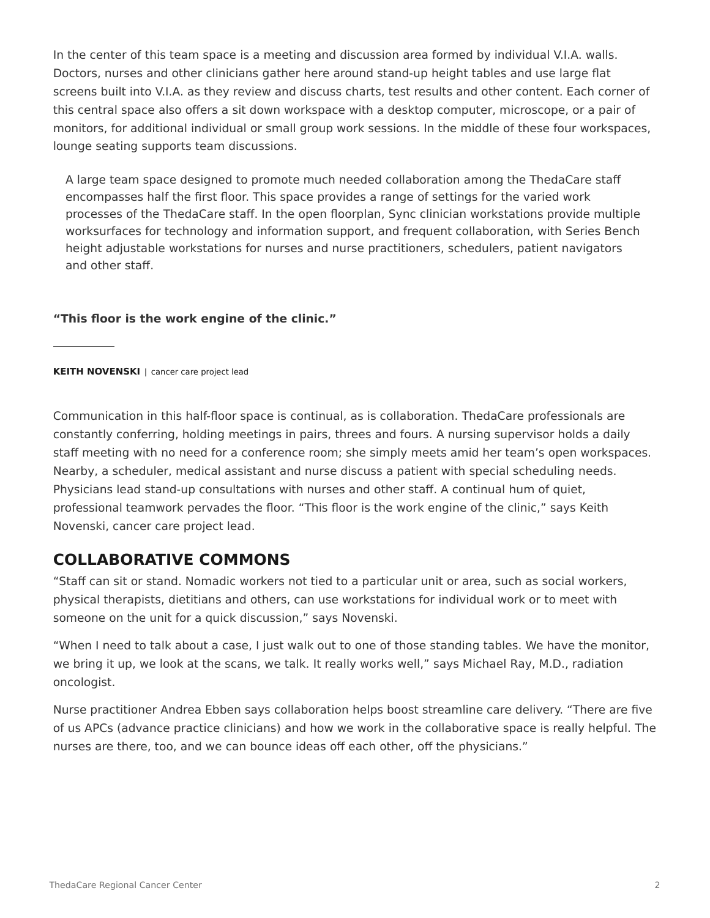In the center of this team space is a meeting and discussion area formed by individual V.I.A. walls. Doctors, nurses and other clinicians gather here around stand-up height tables and use large flat screens built into V.I.A. as they review and discuss charts, test results and other content. Each corner of this central space also offers a sit down workspace with a desktop computer, microscope, or a pair of monitors, for additional individual or small group work sessions. In the middle of these four workspaces, lounge seating supports team discussions.

A large team space designed to promote much needed collaboration among the ThedaCare staff encompasses half the first floor. This space provides a range of settings for the varied work processes of the ThedaCare staff. In the open floorplan, Sync clinician workstations provide multiple worksurfaces for technology and information support, and frequent collaboration, with Series Bench height adjustable workstations for nurses and nurse practitioners, schedulers, patient navigators and other staff.

#### **"This floor is the work engine of the clinic."**

#### **KEITH NOVENSKI** | cancer care project lead

Communication in this half-floor space is continual, as is collaboration. ThedaCare professionals are constantly conferring, holding meetings in pairs, threes and fours. A nursing supervisor holds a daily staff meeting with no need for a conference room; she simply meets amid her team's open workspaces. Nearby, a scheduler, medical assistant and nurse discuss a patient with special scheduling needs. Physicians lead stand-up consultations with nurses and other staff. A continual hum of quiet, professional teamwork pervades the floor. "This floor is the work engine of the clinic," says Keith Novenski, cancer care project lead.

#### **COLLABORATIVE COMMONS**

"Staff can sit or stand. Nomadic workers not tied to a particular unit or area, such as social workers, physical therapists, dietitians and others, can use workstations for individual work or to meet with someone on the unit for a quick discussion," says Novenski.

"When I need to talk about a case, I just walk out to one of those standing tables. We have the monitor, we bring it up, we look at the scans, we talk. It really works well," says Michael Ray, M.D., radiation oncologist.

Nurse practitioner Andrea Ebben says collaboration helps boost streamline care delivery. "There are five of us APCs (advance practice clinicians) and how we work in the collaborative space is really helpful. The nurses are there, too, and we can bounce ideas off each other, off the physicians."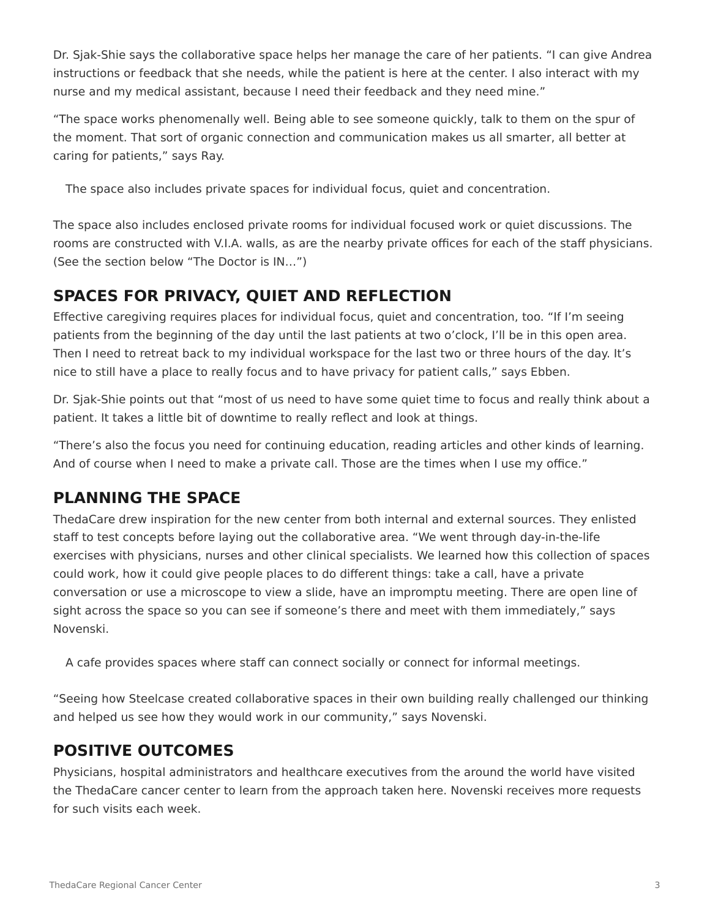Dr. Sjak-Shie says the collaborative space helps her manage the care of her patients. "I can give Andrea instructions or feedback that she needs, while the patient is here at the center. I also interact with my nurse and my medical assistant, because I need their feedback and they need mine."

"The space works phenomenally well. Being able to see someone quickly, talk to them on the spur of the moment. That sort of organic connection and communication makes us all smarter, all better at caring for patients," says Ray.

The space also includes private spaces for individual focus, quiet and concentration.

The space also includes enclosed private rooms for individual focused work or quiet discussions. The rooms are constructed with V.I.A. walls, as are the nearby private offices for each of the staff physicians. (See the section below "The Doctor is IN…")

# **SPACES FOR PRIVACY, QUIET AND REFLECTION**

Effective caregiving requires places for individual focus, quiet and concentration, too. "If I'm seeing patients from the beginning of the day until the last patients at two o'clock, I'll be in this open area. Then I need to retreat back to my individual workspace for the last two or three hours of the day. It's nice to still have a place to really focus and to have privacy for patient calls," says Ebben.

Dr. Sjak-Shie points out that "most of us need to have some quiet time to focus and really think about a patient. It takes a little bit of downtime to really reflect and look at things.

"There's also the focus you need for continuing education, reading articles and other kinds of learning. And of course when I need to make a private call. Those are the times when I use my office."

## **PLANNING THE SPACE**

ThedaCare drew inspiration for the new center from both internal and external sources. They enlisted staff to test concepts before laying out the collaborative area. "We went through day-in-the-life exercises with physicians, nurses and other clinical specialists. We learned how this collection of spaces could work, how it could give people places to do different things: take a call, have a private conversation or use a microscope to view a slide, have an impromptu meeting. There are open line of sight across the space so you can see if someone's there and meet with them immediately," says Novenski.

A cafe provides spaces where staff can connect socially or connect for informal meetings.

"Seeing how Steelcase created collaborative spaces in their own building really challenged our thinking and helped us see how they would work in our community," says Novenski.

## **POSITIVE OUTCOMES**

Physicians, hospital administrators and healthcare executives from the around the world have visited the ThedaCare cancer center to learn from the approach taken here. Novenski receives more requests for such visits each week.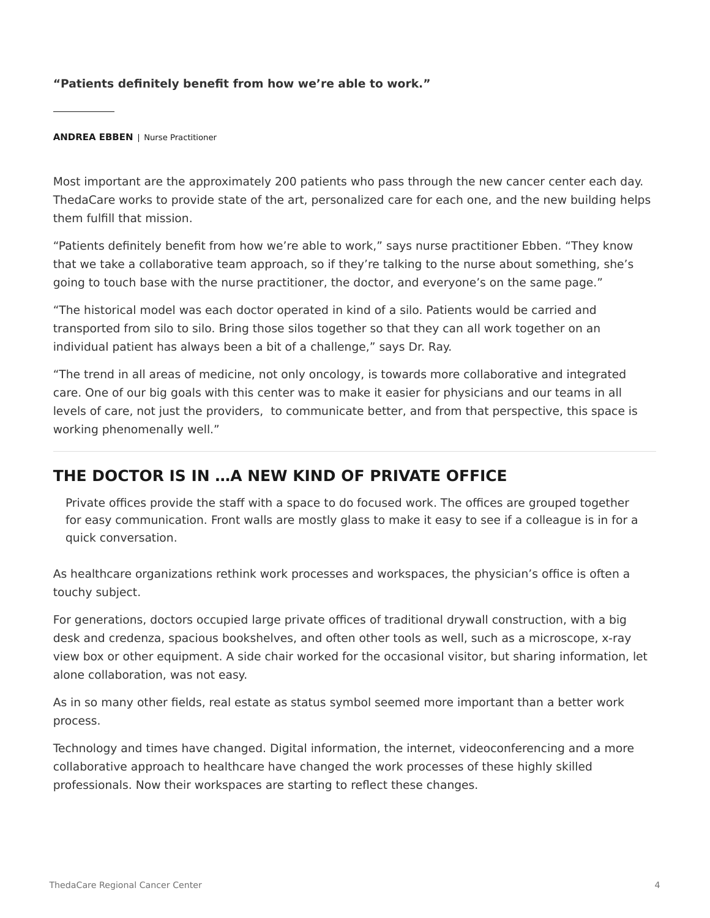#### **"Patients definitely benefit from how we're able to work."**

**ANDREA EBBEN** | Nurse Practitioner

Most important are the approximately 200 patients who pass through the new cancer center each day. ThedaCare works to provide state of the art, personalized care for each one, and the new building helps them fulfill that mission.

"Patients definitely benefit from how we're able to work," says nurse practitioner Ebben. "They know that we take a collaborative team approach, so if they're talking to the nurse about something, she's going to touch base with the nurse practitioner, the doctor, and everyone's on the same page."

"The historical model was each doctor operated in kind of a silo. Patients would be carried and transported from silo to silo. Bring those silos together so that they can all work together on an individual patient has always been a bit of a challenge," says Dr. Ray.

"The trend in all areas of medicine, not only oncology, is towards more collaborative and integrated care. One of our big goals with this center was to make it easier for physicians and our teams in all levels of care, not just the providers, to communicate better, and from that perspective, this space is working phenomenally well."

#### **THE DOCTOR IS IN …A NEW KIND OF PRIVATE OFFICE**

Private offices provide the staff with a space to do focused work. The offices are grouped together for easy communication. Front walls are mostly glass to make it easy to see if a colleague is in for a quick conversation.

As healthcare organizations rethink work processes and workspaces, the physician's office is often a touchy subject.

For generations, doctors occupied large private offices of traditional drywall construction, with a big desk and credenza, spacious bookshelves, and often other tools as well, such as a microscope, x-ray view box or other equipment. A side chair worked for the occasional visitor, but sharing information, let alone collaboration, was not easy.

As in so many other fields, real estate as status symbol seemed more important than a better work process.

Technology and times have changed. Digital information, the internet, videoconferencing and a more collaborative approach to healthcare have changed the work processes of these highly skilled professionals. Now their workspaces are starting to reflect these changes.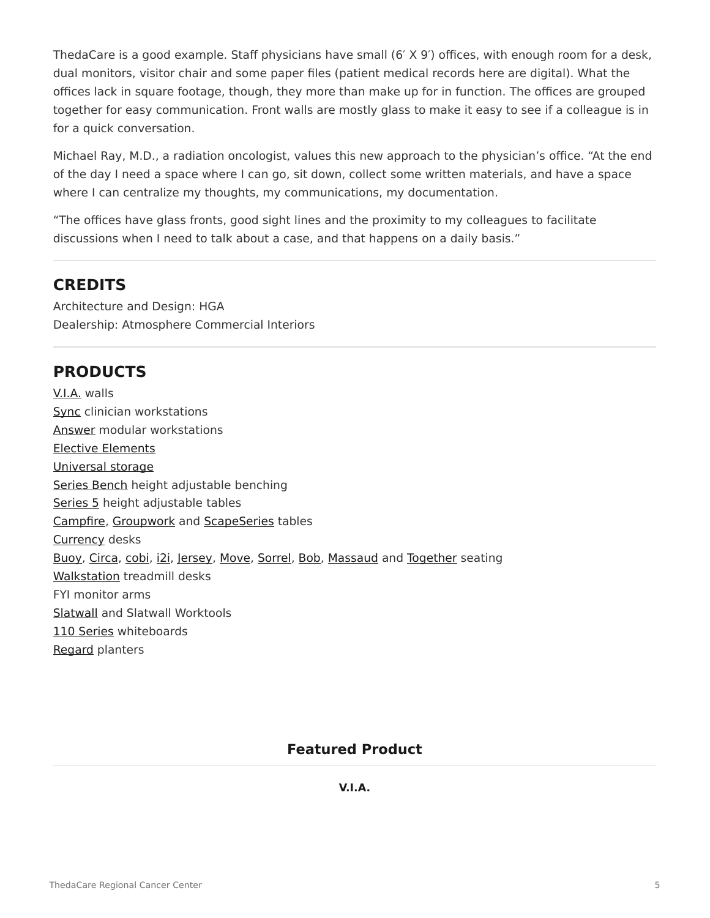ThedaCare is a good example. Staff physicians have small (6' X 9') offices, with enough room for a desk, dual monitors, visitor chair and some paper files (patient medical records here are digital). What the offices lack in square footage, though, they more than make up for in function. The offices are grouped together for easy communication. Front walls are mostly glass to make it easy to see if a colleague is in for a quick conversation.

Michael Ray, M.D., a radiation oncologist, values this new approach to the physician's office. "At the end of the day I need a space where I can go, sit down, collect some written materials, and have a space where I can centralize my thoughts, my communications, my documentation.

"The offices have glass fronts, good sight lines and the proximity to my colleagues to facilitate discussions when I need to talk about a case, and that happens on a daily basis."

#### **CREDITS**

Architecture and Design: HGA Dealership: Atmosphere Commercial Interiors

## **PRODUCTS**

[V.I.A.](https://www.steelcase.com/products/walls-work-walls/via/) walls [Sync](https://www.steelcase.com/products/desk-systems/sync/) clinician workstations [Answer](/products/beams/answer-beam/) modular workstations [Elective Elements](https://www.steelcase.com/products/desk-systems/elective-elements/) [Universal storage](https://www.steelcase.com/products/bins-shelves/universal-storage/) [Series Bench](https://www.steelcase.com/products/benching/) height adjustable benching [Series 5](https://www.steelcase.com/products/height-adjustable-desks/) height adjustable tables [Campfire,](https://www.steelcase.com/products/education-lounge-seating/turnstone-campfire-lounge-system/) [Groupwork](https://www.steelcase.com/products/conference-classroom-tables/groupwork/) and [ScapeSeries](https://www.steelcase.com/products/conference-classroom-tables/scapeseries/) tables [Currency](https://www.steelcase.com/products/desk-systems/currency-enhanced/) desks [Buoy,](https://www.steelcase.com/products/education-lounge-seating/turnstone-buoy/) [Circa](https://www.steelcase.com/products/sofas/circa-lounge-system/), [cobi,](https://www.steelcase.com/products/collaborative-chairs/cobi/) [i2i,](https://www.steelcase.com/products/collaborative-chairs/i2i/) [Jersey](https://www.steelcase.com/products/office-chairs/jersey/), [Move](https://www.steelcase.com/products/guest-chairs-stools/move/), [Sorrel](https://www.steelcase.com/products/healthcare-seating/sorrel-2/), [Bob,](https://www.steelcase.com/products/side-guest-chairs/bob-seating/) [Massaud](https://www.steelcase.com/products/conference-chairs/massaud-seating/) and [Together](https://www.steelcase.com/products/lounge-seating/together-bench/) seating [Walkstation](https://www.steelcase.com/products/height-adjustable-desks/walkstation/) treadmill desks FYI monitor arms [Slatwall](https://www.steelcase.com/products/organization-tools/slatwall-slatrail/) and Slatwall Worktools [110 Series](https://www.steelcase.com/products/whiteboards/110-series/) whiteboards [Regard](https://www.steelcase.com/products/bookcases-cabinets/regard/) planters

#### **Featured Product**

#### **[V.I.A.](https://www.steelcase.com/products/walls-work-walls/via/)**